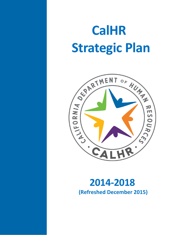# **CalHR Strategic Plan**



# **2014-2018 (Refreshed December 2015)**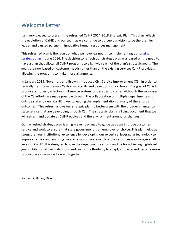# Welcome Letter

I am very pleased to present the refreshed CalHR 2014-2018 Strategic Plan. This plan reflects the evolution of CalHR and our team as we continue to pursue our vision to be the premier leader and trusted partner in innovative human resources management.

This refreshed plan is the result of what we have learned since implementing our [original](http://www.calhr.ca.gov/Pages/calhr-strategic-plan-2014-2018-original-archived.aspx)  [strategic plan](http://www.calhr.ca.gov/Pages/calhr-strategic-plan-2014-2018-original-archived.aspx) in June 2014. The decision to refresh our strategic plan was based on the need to have a plan that allows all CalHR programs to align with each of the plan's strategic goals. The goals are now based on customer needs rather than on the existing services CalHR provides, allowing the programs to make those alignments.

In January 2015, Governor Jerry Brown introduced Civil Service Improvement (CSI) in order to radically transform the way California recruits and develops its workforce. The goal of CSI is to produce a modern, effective civil service system for decades to come. Although the successes of the CSI efforts are made possible through the collaboration of multiple departments and outside stakeholders, CalHR is key to leading the implementation of many of the effort's outcomes. This refresh allows our strategic plan to better align with the broader changes to state service that are developing through CSI. The strategic plan is a living document that we will refresh and update as CalHR evolves and the environment around us changes.

Our refreshed strategic plan is a high-level road map to guide us as we improve customer service and work to ensure that state government is an employer of choice. This plan helps us strengthen our institutional excellence by developing our expertise, leveraging technology to improve service and ensuring we are responsible stewards of the resources we manage at all levels of CalHR. It is designed to give the department a strong outline for achieving high-level goals while still allowing divisions and teams the flexibility to adapt, innovate and become more productive as we move forward together.

Richard Gillihan, Director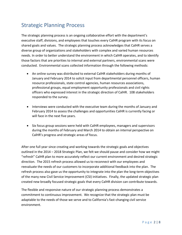# Strategic Planning Process

The strategic planning process is an ongoing collaborative effort with the department's executive staff, divisions, and employees that touches every CalHR program with its focus on shared goals and values. The strategic planning process acknowledges that CalHR serves a diverse group of organizations and stakeholders with complex and varied human resources needs. In order to better understand the environment in which CalHR operates, and to identify those factors that are priorities to internal and external partners, environmental scans were conducted. Environmental scans collected information through the following methods:

- An online survey was distributed to external CalHR stakeholders during months of January and February 2014 to solicit input from departmental personnel officers, human resource professionals, state control agencies, human resources associations, professional groups, equal employment opportunity professionals and civil rights officers who expressed interest in the strategic direction of CalHR. 108 stakeholders responded to the survey.
- Interviews were conducted with the executive team during the months of January and February 2014 to assess the challenges and opportunities CalHR is currently facing or will face in the next five years.
- Six focus group sessions were held with CalHR employees, managers and supervisors during the months of February and March 2014 to obtain an internal perspective on CalHR's progress and strategic areas of focus.

After one full year since creating and working towards the strategic goals and objectives outlined in the 2014 – 2018 Strategic Plan, we felt we should pause and consider how we might "refresh" CalHR plan to more accurately reflect our current environment and desired strategic direction. The 2015 refresh process allowed us to reconnect with our employees and reevaluate the needs of our customers to incorporate additional feedback into the plan. The refresh process also gave us the opportunity to integrate into the plan the long-term objectives of the many new Civil Service Improvement (CSI) initiatives. Finally, the updated strategic plan created new broadly focused strategic goals that every CalHR division can contribute towards.

The flexible and responsive nature of our strategic planning process demonstrates a commitment to continuous improvement. We recognize that the strategic plan must be adaptable to the needs of those we serve and to California's fast-changing civil service environment.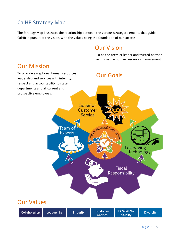### CalHR Strategy Map

The Strategy Map illustrates the relationship between the various strategic elements that guide CalHR in pursuit of the vision, with the values being the foundation of our success.

# Our Vision

To be the premier leader and trusted partner in innovative human resources management.

# Our Mission

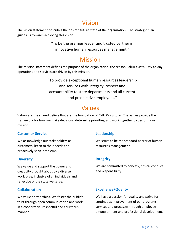# Vision

The vision statement describes the desired future state of the organization. The strategic plan guides us towards achieving this vision.

> "To be the premier leader and trusted partner in innovative human resources management."

# Mission

The mission statement defines the purpose of the organization, the reason CalHR exists. Day-to-day operations and services are driven by this mission.

> "To provide exceptional human resources leadership and services with integrity, respect and accountability to state departments and all current and prospective employees."

# Values

Values are the shared beliefs that are the foundation of CalHR's culture. The values provide the framework for how we make decisions, determine priorities, and work together to perform our mission.

#### **Customer Service**

We acknowledge our stakeholders as customers, listen to their needs and proactively solve problems.

#### **Diversity**

We value and support the power and creativity brought about by a diverse workforce, inclusive of all individuals and reflective of the state we serve.

#### **Collaboration**

We value partnerships. We foster the public's trust through open communication and work in a cooperative, respectful and courteous manner.

#### **Leadership**

We strive to be the standard bearer of human resources management.

#### **Integrity**

We are committed to honesty, ethical conduct and responsibility.

#### **Excellence/Quality**

We have a passion for quality and strive for continuous improvement of our programs, services and processes through employee empowerment and professional development.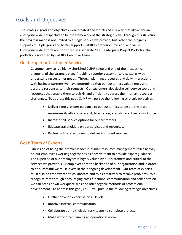# Goals and Objectives

The strategic goals and objectives were created and structured in a way that allows for an enterprise wide perspective to be the framework of the strategic plan. Through this structure the progress made is not limited to a single service we provide, but rather the progress supports multiple goals and better supports CalHR's core vision, mission, and values. Enterprise wide efforts are prioritized in a separate CalHR Enterprise Project Portfolio. The portfolio is governed by CalHR's Executive Team.

#### Goal: Superior Customer Service

Customer service is a highly cherished CalHR value and one of the most critical elements of the strategic plan. Providing superior customer service starts with understanding customer needs. Through planning processes and daily interactions with business partners we have determined that our customers value timely and accurate responses to their requests. Our customers also desire self-service tools and resources that enable them to quickly and efficiently address their human resources challenges. To address this goal, CalHR will pursue the following strategic objectives:

- Deliver timely, expert guidance to our customers to ensure the state maximizes its efforts to recruit, hire, retain, and utilize a diverse workforce.
- Increase self-service options for our customers.
- Educate stakeholders on our services and resources.
- Partner with stakeholders to deliver improved services.

#### Goal: Team of Experts

Our vision of being the premier leader in human resources management relies heavily on our employees working together as a cohesive team to provide expert guidance. The expertise of our employees is highly valued by our customers and critical to the services we provide. Our employees are the backbone of our organization and in order to be successful we must invest in their ongoing development. Our team of experts must also be empowered to collaborate and think creatively to resolve problems. We recognize that through encouraging cross functional communication and collaboration we can break down workplace silos and offer organic methods of professional development. To address this goal, CalHR will pursue the following strategic objectives:

- Further develop expertise on all levels.
- Improve internal communication.
- Collaborate as multi-disciplinary teams to complete projects.
- Make workforce planning an operational norm.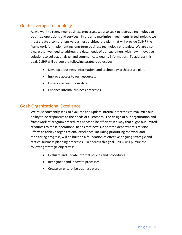#### Goal: Leverage Technology

As we work to reengineer business processes, we also seek to leverage technology to optimize operations and services. In order to maximize investments in technology, we must create a comprehensive business architecture plan that will provide CalHR the framework for implementing long-term business technology strategies. We are also aware that we need to address the data needs of our customers with new innovative solutions to collect, analyze, and communicate quality information. To address this goal, CalHR will pursue the following strategic objectives:

- Develop a business, information, and technology architecture plan.
- Improve access to our resources.
- Enhance access to our data.
- Enhance internal business processes.

#### Goal: Organizational Excellence

We must constantly seek to evaluate and update internal processes to maximize our ability to be responsive to the needs of customers. The design of our organization and framework of program procedures needs to be efficient in a way that aligns our limited resources to those operational needs that best support the department's mission. Efforts to achieve organizational excellence, including prioritizing the work and monitoring progress, will be built on a foundation of effective ongoing strategic and tactical business planning processes. To address this goal, CalHR will pursue the following strategic objectives:

- Evaluate and update internal policies and procedures.
- Reengineer and innovate processes.
- Create an enterprise business plan.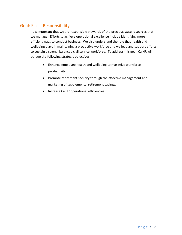#### Goal: Fiscal Responsibility

 It is important that we are responsible stewards of the precious state resources that we manage. Efforts to achieve operational excellence include identifying more efficient ways to conduct business. We also understand the role that health and wellbeing plays in maintaining a productive workforce and we lead and support efforts to sustain a strong, balanced civil service workforce. To address this goal, CalHR will pursue the following strategic objectives:

- Enhance employee health and wellbeing to maximize workforce productivity.
- Promote retirement security through the effective management and marketing of supplemental retirement savings.
- **•** Increase CalHR operational efficiencies.